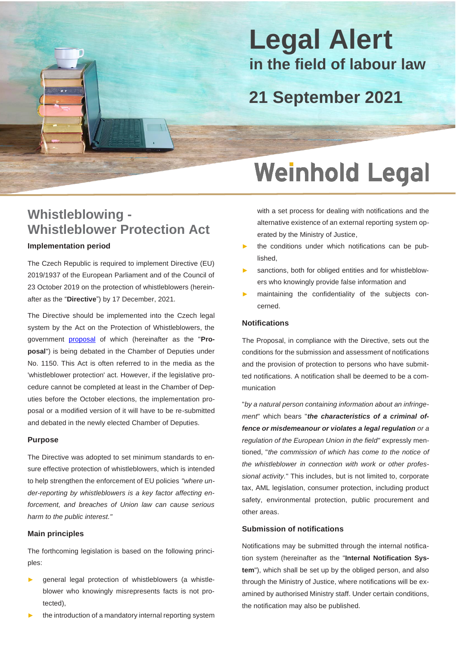## **Legal Alert in the field of labour law**

### **21 September 2021**

# **Weinhold Legal**

### **Whistleblowing - Whistleblower Protection Act**

### **Implementation period**

B

The Czech Republic is required to implement Directive (EU) 2019/1937 of the European Parliament and of the Council of 23 October 2019 on the protection of whistleblowers (hereinafter as the "**Directive**") by 17 December, 2021.

The Directive should be implemented into the Czech legal system by the Act on the Protection of Whistleblowers, the government [proposal](https://www.psp.cz/sqw/historie.sqw?o=8&T=1150) of which (hereinafter as the "**Proposal**") is being debated in the Chamber of Deputies under No. 1150. This Act is often referred to in the media as the 'whistleblower protection' act. However, if the legislative procedure cannot be completed at least in the Chamber of Deputies before the October elections, the implementation proposal or a modified version of it will have to be re-submitted and debated in the newly elected Chamber of Deputies.

### **Purpose**

The Directive was adopted to set minimum standards to ensure effective protection of whistleblowers, which is intended to help strengthen the enforcement of EU policies *"where under-reporting by whistleblowers is a key factor affecting enforcement, and breaches of Union law can cause serious harm to the public interest."*

#### **Main principles**

The forthcoming legislation is based on the following principles:

- general legal protection of whistleblowers (a whistleblower who knowingly misrepresents facts is not protected),
- the introduction of a mandatory internal reporting system

with a set process for dealing with notifications and the alternative existence of an external reporting system operated by the Ministry of Justice,

- the conditions under which notifications can be published,
- sanctions, both for obliged entities and for whistleblowers who knowingly provide false information and
- maintaining the confidentiality of the subjects concerned.

### **Notifications**

The Proposal, in compliance with the Directive, sets out the conditions for the submission and assessment of notifications and the provision of protection to persons who have submitted notifications. A notification shall be deemed to be a communication

"*by a natural person containing information about an infringement*" which bears "*the characteristics of a criminal offence or misdemeanour or violates a legal regulation or a regulation of the European Union in the field"* expressly mentioned, "*the commission of which has come to the notice of the whistleblower in connection with work or other professional activity.*" This includes, but is not limited to, corporate tax, AML legislation, consumer protection, including product safety, environmental protection, public procurement and other areas.

### **Submission of notifications**

Notifications may be submitted through the internal notification system (hereinafter as the "**Internal Notification System**"), which shall be set up by the obliged person, and also through the Ministry of Justice, where notifications will be examined by authorised Ministry staff. Under certain conditions, the notification may also be published.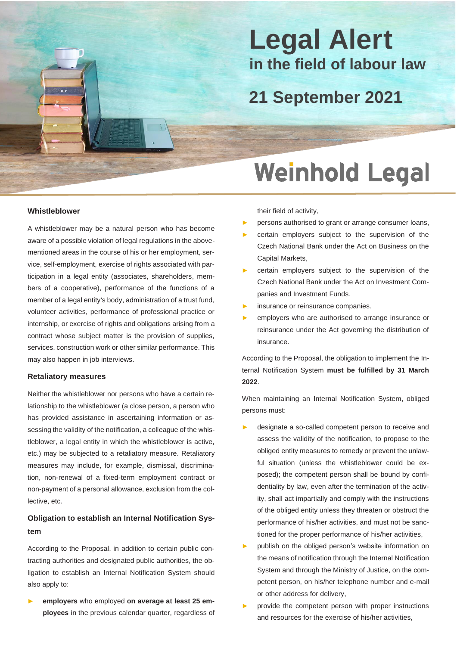## **Legal Alert in the field of labour law**

### **21 September 2021**

# **Weinhold Legal**

#### **Whistleblower**

B

A whistleblower may be a natural person who has become aware of a possible violation of legal regulations in the abovementioned areas in the course of his or her employment, service, self-employment, exercise of rights associated with participation in a legal entity (associates, shareholders, members of a cooperative), performance of the functions of a member of a legal entity's body, administration of a trust fund, volunteer activities, performance of professional practice or internship, or exercise of rights and obligations arising from a contract whose subject matter is the provision of supplies, services, construction work or other similar performance. This may also happen in job interviews.

#### **Retaliatory measures**

Neither the whistleblower nor persons who have a certain relationship to the whistleblower (a close person, a person who has provided assistance in ascertaining information or assessing the validity of the notification, a colleague of the whistleblower, a legal entity in which the whistleblower is active, etc.) may be subjected to a retaliatory measure. Retaliatory measures may include, for example, dismissal, discrimination, non-renewal of a fixed-term employment contract or non-payment of a personal allowance, exclusion from the collective, etc.

### **Obligation to establish an Internal Notification System**

According to the Proposal, in addition to certain public contracting authorities and designated public authorities, the obligation to establish an Internal Notification System should also apply to:

employers who employed on average at least 25 em**ployees** in the previous calendar quarter, regardless of their field of activity,

- persons authorised to grant or arrange consumer loans,
- certain employers subject to the supervision of the Czech National Bank under the Act on Business on the Capital Markets,
- certain employers subject to the supervision of the Czech National Bank under the Act on Investment Companies and Investment Funds,
- insurance or reinsurance companies,
- employers who are authorised to arrange insurance or reinsurance under the Act governing the distribution of insurance.

According to the Proposal, the obligation to implement the Internal Notification System **must be fulfilled by 31 March 2022**.

When maintaining an Internal Notification System, obliged persons must:

- designate a so-called competent person to receive and assess the validity of the notification, to propose to the obliged entity measures to remedy or prevent the unlawful situation (unless the whistleblower could be exposed); the competent person shall be bound by confidentiality by law, even after the termination of the activity, shall act impartially and comply with the instructions of the obliged entity unless they threaten or obstruct the performance of his/her activities, and must not be sanctioned for the proper performance of his/her activities,
- publish on the obliged person's website information on the means of notification through the Internal Notification System and through the Ministry of Justice, on the competent person, on his/her telephone number and e-mail or other address for delivery,
- provide the competent person with proper instructions and resources for the exercise of his/her activities,